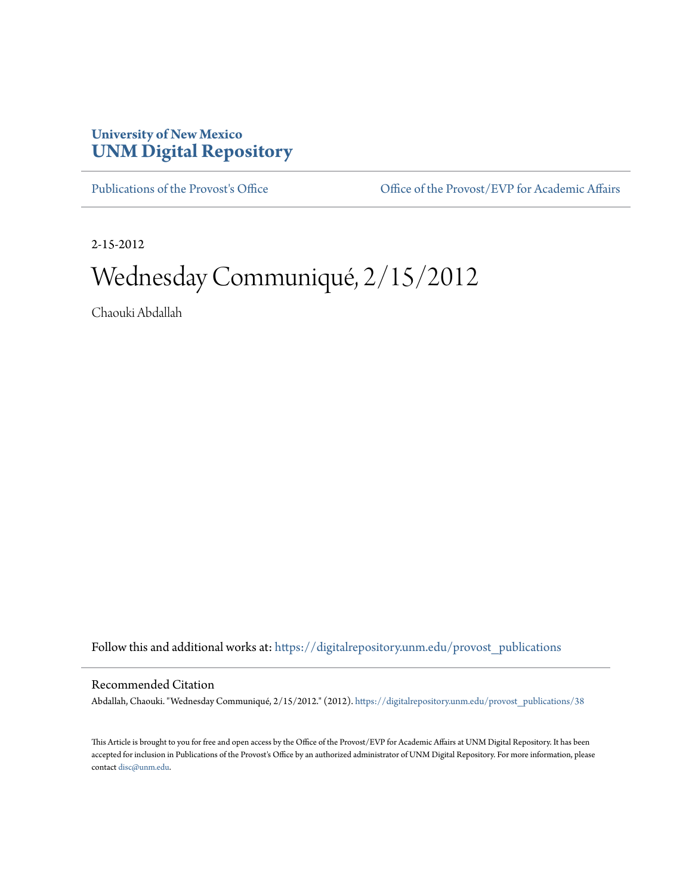## **University of New Mexico [UNM Digital Repository](https://digitalrepository.unm.edu?utm_source=digitalrepository.unm.edu%2Fprovost_publications%2F38&utm_medium=PDF&utm_campaign=PDFCoverPages)**

[Publications of the Provost's Office](https://digitalrepository.unm.edu/provost_publications?utm_source=digitalrepository.unm.edu%2Fprovost_publications%2F38&utm_medium=PDF&utm_campaign=PDFCoverPages) Office [Office of the Provost/EVP for Academic Affairs](https://digitalrepository.unm.edu/ofc_provost?utm_source=digitalrepository.unm.edu%2Fprovost_publications%2F38&utm_medium=PDF&utm_campaign=PDFCoverPages)

2-15-2012

# Wednesday Communiqué, 2/15/2012

Chaouki Abdallah

Follow this and additional works at: [https://digitalrepository.unm.edu/provost\\_publications](https://digitalrepository.unm.edu/provost_publications?utm_source=digitalrepository.unm.edu%2Fprovost_publications%2F38&utm_medium=PDF&utm_campaign=PDFCoverPages)

#### Recommended Citation

Abdallah, Chaouki. "Wednesday Communiqué, 2/15/2012." (2012). [https://digitalrepository.unm.edu/provost\\_publications/38](https://digitalrepository.unm.edu/provost_publications/38?utm_source=digitalrepository.unm.edu%2Fprovost_publications%2F38&utm_medium=PDF&utm_campaign=PDFCoverPages)

This Article is brought to you for free and open access by the Office of the Provost/EVP for Academic Affairs at UNM Digital Repository. It has been accepted for inclusion in Publications of the Provost's Office by an authorized administrator of UNM Digital Repository. For more information, please contact [disc@unm.edu.](mailto:disc@unm.edu)